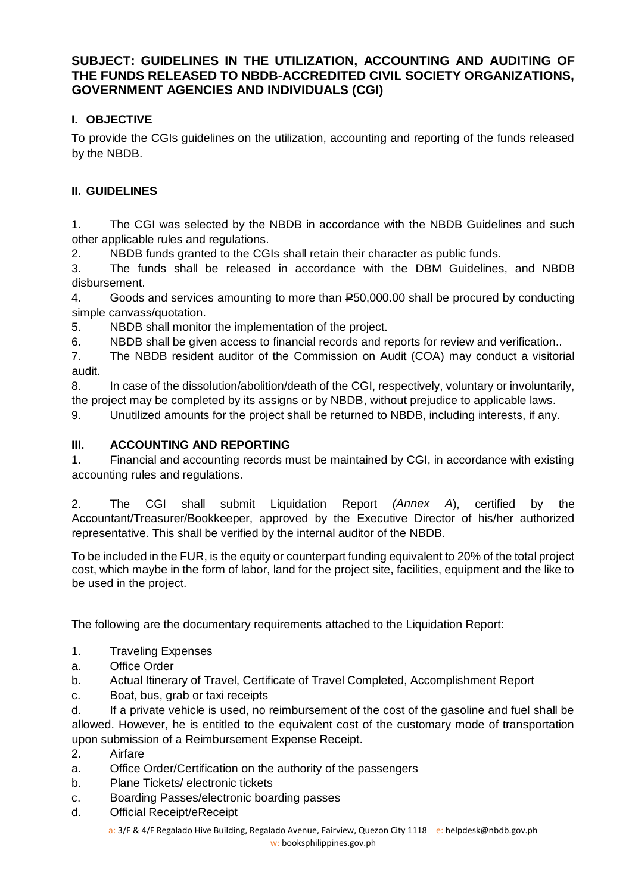## **SUBJECT: GUIDELINES IN THE UTILIZATION, ACCOUNTING AND AUDITING OF THE FUNDS RELEASED TO NBDB-ACCREDITED CIVIL SOCIETY ORGANIZATIONS, GOVERNMENT AGENCIES AND INDIVIDUALS (CGI)**

# **I. OBJECTIVE**

To provide the CGIs guidelines on the utilization, accounting and reporting of the funds released by the NBDB.

## **II. GUIDELINES**

1. The CGI was selected by the NBDB in accordance with the NBDB Guidelines and such other applicable rules and regulations.

2. NBDB funds granted to the CGIs shall retain their character as public funds.

3. The funds shall be released in accordance with the DBM Guidelines, and NBDB disbursement.

4. Goods and services amounting to more than P50,000.00 shall be procured by conducting simple canvass/quotation.

5. NBDB shall monitor the implementation of the project.

6. NBDB shall be given access to financial records and reports for review and verification..

7. The NBDB resident auditor of the Commission on Audit (COA) may conduct a visitorial audit.

8. In case of the dissolution/abolition/death of the CGI, respectively, voluntary or involuntarily, the project may be completed by its assigns or by NBDB, without prejudice to applicable laws.

9. Unutilized amounts for the project shall be returned to NBDB, including interests, if any.

### **III. ACCOUNTING AND REPORTING**

1. Financial and accounting records must be maintained by CGI, in accordance with existing accounting rules and regulations.

2. The CGI shall submit Liquidation Report *(Annex A*), certified by the Accountant/Treasurer/Bookkeeper, approved by the Executive Director of his/her authorized representative. This shall be verified by the internal auditor of the NBDB.

To be included in the FUR, is the equity or counterpart funding equivalent to 20% of the total project cost, which maybe in the form of labor, land for the project site, facilities, equipment and the like to be used in the project.

The following are the documentary requirements attached to the Liquidation Report:

- 1. Traveling Expenses
- a. Office Order
- b. Actual Itinerary of Travel, Certificate of Travel Completed, Accomplishment Report
- c. Boat, bus, grab or taxi receipts

d. If a private vehicle is used, no reimbursement of the cost of the gasoline and fuel shall be allowed. However, he is entitled to the equivalent cost of the customary mode of transportation upon submission of a Reimbursement Expense Receipt.

- 2. Airfare
- a. Office Order/Certification on the authority of the passengers
- b. Plane Tickets/ electronic tickets
- c. Boarding Passes/electronic boarding passes
- d. Official Receipt/eReceipt

a: 3/F & 4/F Regalado Hive Building, Regalado Avenue, Fairview, Quezon City 1118 e: helpdesk@nbdb.gov.ph w: booksphilippines.gov.ph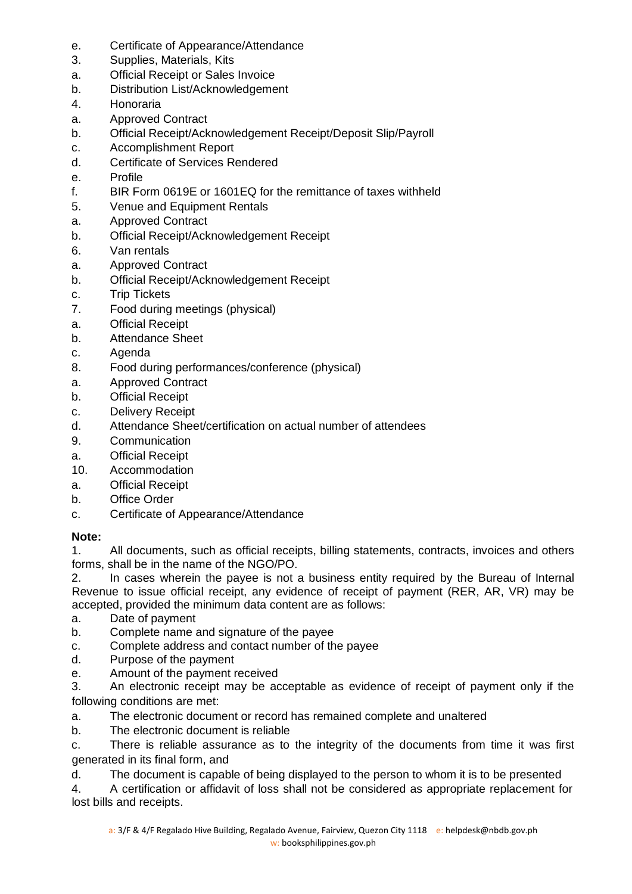- e. Certificate of Appearance/Attendance
- 3. Supplies, Materials, Kits
- a. Official Receipt or Sales Invoice
- b. Distribution List/Acknowledgement
- 4. Honoraria
- a. Approved Contract
- b. Official Receipt/Acknowledgement Receipt/Deposit Slip/Payroll
- c. Accomplishment Report
- d. Certificate of Services Rendered
- e. Profile
- f. BIR Form 0619E or 1601EQ for the remittance of taxes withheld
- 5. Venue and Equipment Rentals
- a. Approved Contract
- b. Official Receipt/Acknowledgement Receipt
- 6. Van rentals
- a. Approved Contract
- b. Official Receipt/Acknowledgement Receipt
- c. Trip Tickets
- 7. Food during meetings (physical)
- a. Official Receipt
- b. Attendance Sheet
- c. Agenda
- 8. Food during performances/conference (physical)
- a. Approved Contract
- b. Official Receipt
- c. Delivery Receipt
- d. Attendance Sheet/certification on actual number of attendees
- 9. Communication
- a. Official Receipt
- 10. Accommodation
- a. Official Receipt
- b. Office Order
- c. Certificate of Appearance/Attendance

#### **Note:**

1. All documents, such as official receipts, billing statements, contracts, invoices and others forms, shall be in the name of the NGO/PO.

2. In cases wherein the payee is not a business entity required by the Bureau of Internal Revenue to issue official receipt, any evidence of receipt of payment (RER, AR, VR) may be accepted, provided the minimum data content are as follows:

- a. Date of payment
- b. Complete name and signature of the payee
- c. Complete address and contact number of the payee
- d. Purpose of the payment
- e. Amount of the payment received

3. An electronic receipt may be acceptable as evidence of receipt of payment only if the following conditions are met:

a. The electronic document or record has remained complete and unaltered

b. The electronic document is reliable

c. There is reliable assurance as to the integrity of the documents from time it was first generated in its final form, and

d. The document is capable of being displayed to the person to whom it is to be presented

4. A certification or affidavit of loss shall not be considered as appropriate replacement for lost bills and receipts.